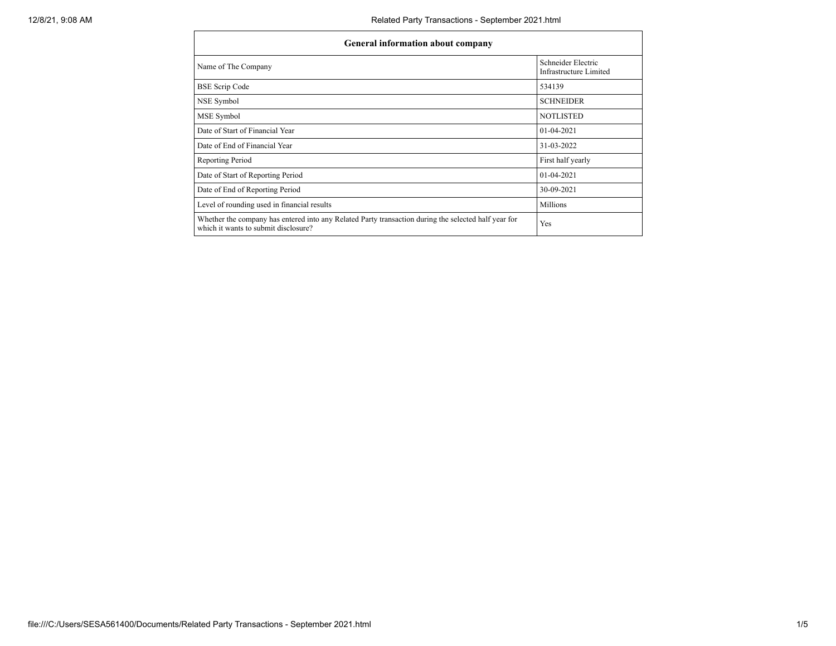| General information about company                                                                                                            |                                              |  |  |  |  |  |  |  |
|----------------------------------------------------------------------------------------------------------------------------------------------|----------------------------------------------|--|--|--|--|--|--|--|
| Name of The Company                                                                                                                          | Schneider Electric<br>Infrastructure Limited |  |  |  |  |  |  |  |
| <b>BSE Scrip Code</b>                                                                                                                        | 534139                                       |  |  |  |  |  |  |  |
| NSE Symbol                                                                                                                                   | <b>SCHNEIDER</b>                             |  |  |  |  |  |  |  |
| MSE Symbol                                                                                                                                   | <b>NOTLISTED</b>                             |  |  |  |  |  |  |  |
| Date of Start of Financial Year                                                                                                              | $01-04-2021$                                 |  |  |  |  |  |  |  |
| Date of End of Financial Year                                                                                                                | 31-03-2022                                   |  |  |  |  |  |  |  |
| Reporting Period                                                                                                                             | First half yearly                            |  |  |  |  |  |  |  |
| Date of Start of Reporting Period                                                                                                            | $01-04-2021$                                 |  |  |  |  |  |  |  |
| Date of End of Reporting Period                                                                                                              | 30-09-2021                                   |  |  |  |  |  |  |  |
| Level of rounding used in financial results                                                                                                  | <b>Millions</b>                              |  |  |  |  |  |  |  |
| Whether the company has entered into any Related Party transaction during the selected half year for<br>which it wants to submit disclosure? | Yes                                          |  |  |  |  |  |  |  |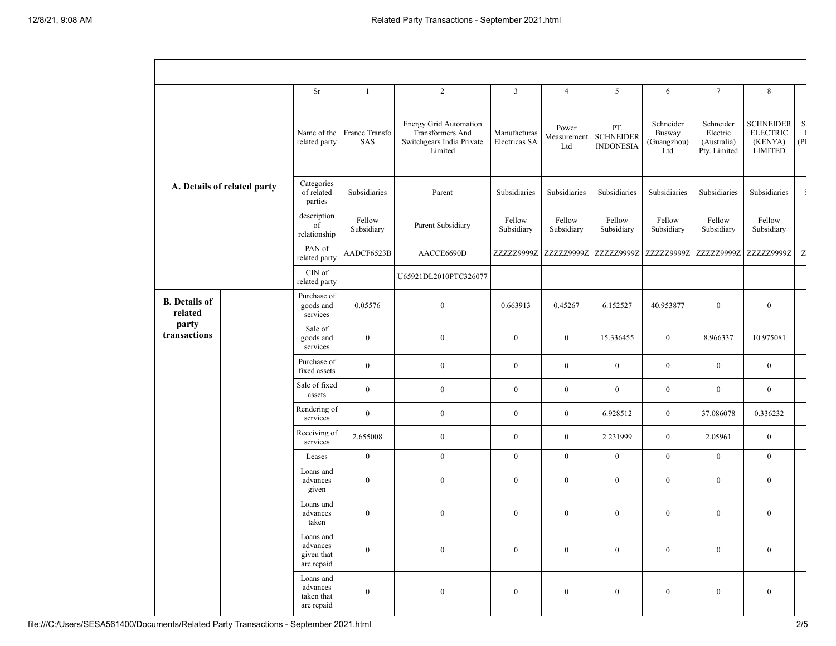|                                                          |  | <b>Sr</b>                                         | $\mathbf{1}$          | $\overline{2}$                                                                            | $\overline{3}$                | $\overline{4}$              | 5                                           | 6                                         | $\tau$                                               | $\,8\,$                                                          |                            |
|----------------------------------------------------------|--|---------------------------------------------------|-----------------------|-------------------------------------------------------------------------------------------|-------------------------------|-----------------------------|---------------------------------------------|-------------------------------------------|------------------------------------------------------|------------------------------------------------------------------|----------------------------|
| A. Details of related party                              |  | Name of the<br>related party                      | France Transfo<br>SAS | <b>Energy Grid Automation</b><br>Transformers And<br>Switchgears India Private<br>Limited | Manufacturas<br>Electricas SA | Power<br>Measurement<br>Ltd | PT.<br><b>SCHNEIDER</b><br><b>INDONESIA</b> | Schneider<br>Busway<br>(Guangzhou)<br>Ltd | Schneider<br>Electric<br>(Australia)<br>Pty. Limited | <b>SCHNEIDER</b><br><b>ELECTRIC</b><br>(KENYA)<br><b>LIMITED</b> | S(<br>$\mathbf{I}$<br>(PI) |
|                                                          |  | Categories<br>of related<br>parties               | Subsidiaries          | Parent                                                                                    | Subsidiaries                  | Subsidiaries                | Subsidiaries                                | Subsidiaries                              | Subsidiaries                                         | Subsidiaries                                                     |                            |
|                                                          |  | description<br>of<br>relationship                 | Fellow<br>Subsidiary  | Parent Subsidiary                                                                         | Fellow<br>Subsidiary          | Fellow<br>Subsidiary        | Fellow<br>Subsidiary                        | Fellow<br>Subsidiary                      | Fellow<br>Subsidiary                                 | Fellow<br>Subsidiary                                             |                            |
|                                                          |  | PAN of<br>related party                           | AADCF6523B            | AACCE6690D                                                                                | ZZZZZ9999Z                    | ZZZZZ9999Z                  | ZZZZZ9999Z                                  | ZZZZZ9999Z                                | ZZZZZ9999Z                                           | ZZZZZ9999Z                                                       | Z.                         |
|                                                          |  | CIN of<br>related party                           |                       | U65921DL2010PTC326077                                                                     |                               |                             |                                             |                                           |                                                      |                                                                  |                            |
| <b>B.</b> Details of<br>related<br>party<br>transactions |  | Purchase of<br>goods and<br>services              | 0.05576               | $\boldsymbol{0}$                                                                          | 0.663913                      | 0.45267                     | 6.152527                                    | 40.953877                                 | $\mathbf{0}$                                         | $\boldsymbol{0}$                                                 |                            |
|                                                          |  | Sale of<br>goods and<br>services                  | $\boldsymbol{0}$      | $\overline{0}$                                                                            | $\boldsymbol{0}$              | $\boldsymbol{0}$            | 15.336455                                   | $\mathbf{0}$                              | 8.966337                                             | 10.975081                                                        |                            |
|                                                          |  | Purchase of<br>fixed assets                       | $\boldsymbol{0}$      | $\boldsymbol{0}$                                                                          | $\boldsymbol{0}$              | $\boldsymbol{0}$            | $\boldsymbol{0}$                            | $\overline{0}$                            | $\mathbf{0}$                                         | $\boldsymbol{0}$                                                 |                            |
|                                                          |  | Sale of fixed<br>assets                           | $\mathbf{0}$          | $\boldsymbol{0}$                                                                          | $\boldsymbol{0}$              | $\boldsymbol{0}$            | $\boldsymbol{0}$                            | $\bf{0}$                                  | $\overline{0}$                                       | $\boldsymbol{0}$                                                 |                            |
|                                                          |  | Rendering of<br>services                          | $\boldsymbol{0}$      | $\boldsymbol{0}$                                                                          | $\boldsymbol{0}$              | $\mathbf{0}$                | 6.928512                                    | $\mathbf{0}$                              | 37.086078                                            | 0.336232                                                         |                            |
|                                                          |  | Receiving of<br>services                          | 2.655008              | $\mathbf{0}$                                                                              | $\boldsymbol{0}$              | $\mathbf{0}$                | 2.231999                                    | $\overline{0}$                            | 2.05961                                              | $\boldsymbol{0}$                                                 |                            |
|                                                          |  | Leases                                            | $\boldsymbol{0}$      | $\boldsymbol{0}$                                                                          | $\mathbf{0}$                  | $\mathbf{0}$                | $\mathbf{0}$                                | $\mathbf{0}$                              | $\mathbf{0}$                                         | $\boldsymbol{0}$                                                 |                            |
|                                                          |  | Loans and<br>advances<br>given                    | $\boldsymbol{0}$      | $\boldsymbol{0}$                                                                          | $\boldsymbol{0}$              | $\mathbf{0}$                | $\boldsymbol{0}$                            | $\mathbf{0}$                              | $\mathbf{0}$                                         | $\boldsymbol{0}$                                                 |                            |
|                                                          |  | Loans and<br>advances<br>taken                    | $\boldsymbol{0}$      | $\boldsymbol{0}$                                                                          | $\boldsymbol{0}$              | $\bf{0}$                    | $\boldsymbol{0}$                            | $\overline{0}$                            | $\mathbf{0}$                                         | $\boldsymbol{0}$                                                 |                            |
|                                                          |  | Loans and<br>advances<br>given that<br>are repaid | $\boldsymbol{0}$      | $\overline{0}$                                                                            | $\boldsymbol{0}$              | $\boldsymbol{0}$            | $\boldsymbol{0}$                            | $\boldsymbol{0}$                          | $\boldsymbol{0}$                                     | $\boldsymbol{0}$                                                 |                            |
|                                                          |  | Loans and<br>advances<br>taken that<br>are repaid | $\boldsymbol{0}$      | $\mathbf{0}$                                                                              | $\bf{0}$                      | $\mathbf{0}$                | $\boldsymbol{0}$                            | $\mathbf{0}$                              | $\bf{0}$                                             | $\boldsymbol{0}$                                                 |                            |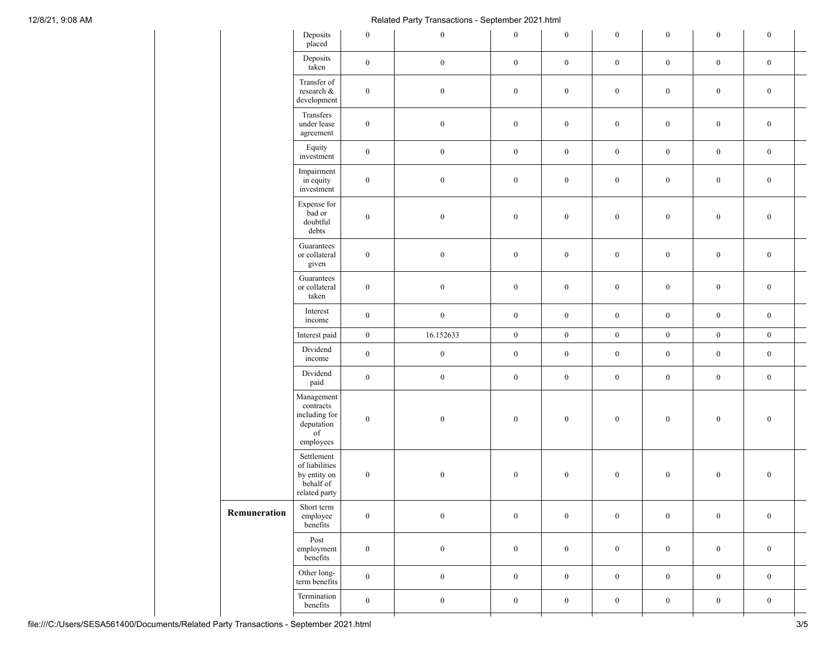## 12/8/21, 9:08 AM Related Party Transactions - September 2021.html

|              | Deposits<br>placed                                                                                                                                                                                                                                                                                      | $\boldsymbol{0}$                                                                                 | $\boldsymbol{0}$ | $\boldsymbol{0}$ | $\boldsymbol{0}$ | $\boldsymbol{0}$ | $\boldsymbol{0}$ | $\mathbf{0}$     | $\boldsymbol{0}$ |  |
|--------------|---------------------------------------------------------------------------------------------------------------------------------------------------------------------------------------------------------------------------------------------------------------------------------------------------------|--------------------------------------------------------------------------------------------------|------------------|------------------|------------------|------------------|------------------|------------------|------------------|--|
|              | Deposits<br>taken                                                                                                                                                                                                                                                                                       | $\boldsymbol{0}$                                                                                 | $\boldsymbol{0}$ | $\boldsymbol{0}$ | $\boldsymbol{0}$ | $\boldsymbol{0}$ | $\boldsymbol{0}$ | $\boldsymbol{0}$ | $\boldsymbol{0}$ |  |
|              | Transfer of<br>research $\&$<br>$\boldsymbol{0}$<br>development<br>Transfers<br>$\boldsymbol{0}$<br>under lease<br>agreement<br>Equity<br>$\boldsymbol{0}$<br>investment<br>Impairment<br>in equity<br>$\boldsymbol{0}$<br>investment<br>Expense for<br>bad or<br>$\boldsymbol{0}$<br>doubtful<br>debts |                                                                                                  | $\boldsymbol{0}$ | $\boldsymbol{0}$ | $\boldsymbol{0}$ | $\boldsymbol{0}$ | $\boldsymbol{0}$ | $\boldsymbol{0}$ | $\boldsymbol{0}$ |  |
|              |                                                                                                                                                                                                                                                                                                         |                                                                                                  | $\boldsymbol{0}$ | $\boldsymbol{0}$ | $\boldsymbol{0}$ | $\boldsymbol{0}$ | $\boldsymbol{0}$ | $\boldsymbol{0}$ | $\boldsymbol{0}$ |  |
|              |                                                                                                                                                                                                                                                                                                         |                                                                                                  | $\boldsymbol{0}$ | $\boldsymbol{0}$ | $\boldsymbol{0}$ | $\boldsymbol{0}$ | $\boldsymbol{0}$ | $\boldsymbol{0}$ | $\boldsymbol{0}$ |  |
|              |                                                                                                                                                                                                                                                                                                         |                                                                                                  | $\boldsymbol{0}$ | $\boldsymbol{0}$ | $\boldsymbol{0}$ | $\boldsymbol{0}$ | $\boldsymbol{0}$ | $\boldsymbol{0}$ | $\boldsymbol{0}$ |  |
|              |                                                                                                                                                                                                                                                                                                         |                                                                                                  | $\boldsymbol{0}$ | $\boldsymbol{0}$ | $\boldsymbol{0}$ | $\boldsymbol{0}$ | $\boldsymbol{0}$ | $\boldsymbol{0}$ | $\boldsymbol{0}$ |  |
|              | Guarantees<br>or collateral<br>given                                                                                                                                                                                                                                                                    | $\boldsymbol{0}$                                                                                 | $\boldsymbol{0}$ | $\boldsymbol{0}$ | $\boldsymbol{0}$ | $\boldsymbol{0}$ | $\boldsymbol{0}$ | $\boldsymbol{0}$ | $\boldsymbol{0}$ |  |
|              | Guarantees<br>or collateral<br>taken                                                                                                                                                                                                                                                                    | $\boldsymbol{0}$                                                                                 | $\boldsymbol{0}$ | $\boldsymbol{0}$ | $\boldsymbol{0}$ | $\boldsymbol{0}$ | $\boldsymbol{0}$ | $\boldsymbol{0}$ | $\boldsymbol{0}$ |  |
|              | Interest<br>income                                                                                                                                                                                                                                                                                      | $\boldsymbol{0}$                                                                                 | $\boldsymbol{0}$ | $\boldsymbol{0}$ | $\boldsymbol{0}$ | $\boldsymbol{0}$ | $\boldsymbol{0}$ | $\boldsymbol{0}$ | $\boldsymbol{0}$ |  |
|              | Interest paid                                                                                                                                                                                                                                                                                           | $\boldsymbol{0}$                                                                                 | 16.152633        | $\boldsymbol{0}$ | $\boldsymbol{0}$ | $\boldsymbol{0}$ | $\boldsymbol{0}$ | $\mathbf{0}$     | $\boldsymbol{0}$ |  |
|              | Dividend<br>income                                                                                                                                                                                                                                                                                      | $\boldsymbol{0}$                                                                                 | $\boldsymbol{0}$ | $\boldsymbol{0}$ | $\boldsymbol{0}$ | $\boldsymbol{0}$ | $\boldsymbol{0}$ | $\boldsymbol{0}$ | $\boldsymbol{0}$ |  |
|              | Dividend<br>paid                                                                                                                                                                                                                                                                                        | $\boldsymbol{0}$                                                                                 | $\boldsymbol{0}$ | $\boldsymbol{0}$ | $\boldsymbol{0}$ | $\boldsymbol{0}$ | $\boldsymbol{0}$ | $\boldsymbol{0}$ | $\boldsymbol{0}$ |  |
|              | Management<br>contracts<br>including for<br>deputation<br>$_{\mathrm{of}}$<br>employees                                                                                                                                                                                                                 | $\boldsymbol{0}$                                                                                 | $\boldsymbol{0}$ | $\boldsymbol{0}$ | $\boldsymbol{0}$ | $\boldsymbol{0}$ | $\boldsymbol{0}$ | $\mathbf{0}$     | $\boldsymbol{0}$ |  |
|              | Settlement<br>of liabilities<br>by entity on<br>behalf of<br>related party                                                                                                                                                                                                                              | $\boldsymbol{0}$                                                                                 | $\boldsymbol{0}$ | $\boldsymbol{0}$ | $\boldsymbol{0}$ | $\boldsymbol{0}$ | $\boldsymbol{0}$ | $\boldsymbol{0}$ | $\boldsymbol{0}$ |  |
| Remuneration | Short term<br>employee<br>benefits                                                                                                                                                                                                                                                                      | $\boldsymbol{0}$<br>$\boldsymbol{0}$<br>Post<br>$\boldsymbol{0}$<br>$\boldsymbol{0}$<br>benefits |                  | $\boldsymbol{0}$ | $\boldsymbol{0}$ | $\boldsymbol{0}$ | $\boldsymbol{0}$ | $\boldsymbol{0}$ | $\boldsymbol{0}$ |  |
|              | employment                                                                                                                                                                                                                                                                                              |                                                                                                  |                  | $\boldsymbol{0}$ | $\boldsymbol{0}$ | $\boldsymbol{0}$ | $\boldsymbol{0}$ | $\boldsymbol{0}$ | $\boldsymbol{0}$ |  |
|              | Other long-<br>term benefits                                                                                                                                                                                                                                                                            | $\boldsymbol{0}$                                                                                 | $\boldsymbol{0}$ | $\boldsymbol{0}$ | $\boldsymbol{0}$ | $\boldsymbol{0}$ | $\boldsymbol{0}$ | $\boldsymbol{0}$ | $\boldsymbol{0}$ |  |
|              | Termination<br>benefits                                                                                                                                                                                                                                                                                 | $\boldsymbol{0}$                                                                                 | $\boldsymbol{0}$ | $\boldsymbol{0}$ | $\boldsymbol{0}$ | $\boldsymbol{0}$ | $\boldsymbol{0}$ | $\boldsymbol{0}$ | $\boldsymbol{0}$ |  |
|              |                                                                                                                                                                                                                                                                                                         |                                                                                                  |                  |                  |                  |                  |                  |                  |                  |  |